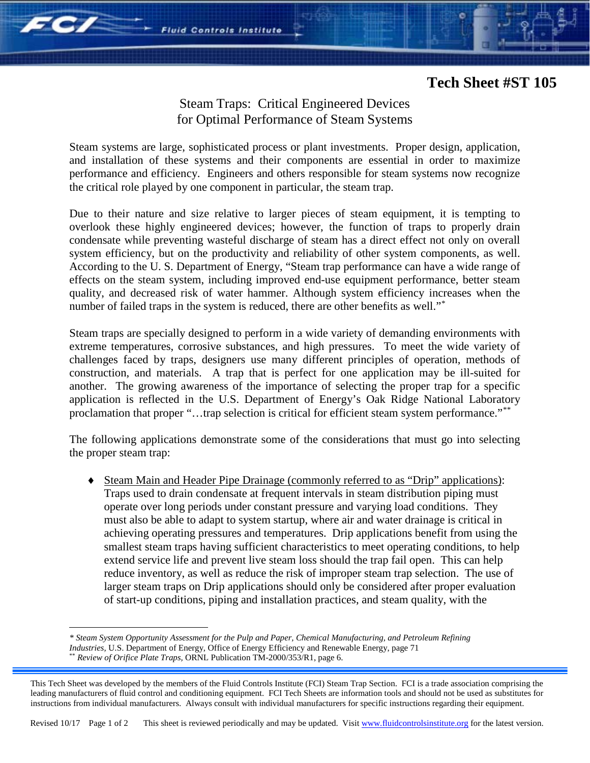## **Tech Sheet #ST 105**

## Steam Traps: Critical Engineered Devices for Optimal Performance of Steam Systems

**Fluid Controls Institute** 

Steam systems are large, sophisticated process or plant investments. Proper design, application, and installation of these systems and their components are essential in order to maximize performance and efficiency. Engineers and others responsible for steam systems now recognize the critical role played by one component in particular, the steam trap.

Due to their nature and size relative to larger pieces of steam equipment, it is tempting to overlook these highly engineered devices; however, the function of traps to properly drain condensate while preventing wasteful discharge of steam has a direct effect not only on overall system efficiency, but on the productivity and reliability of other system components, as well. According to the U. S. Department of Energy, "Steam trap performance can have a wide range of effects on the steam system, including improved end-use equipment performance, better steam quality, and decreased risk of water hammer. Although system efficiency increases when the number of failed traps in the system is reduced, there are other benefits as well."<sup>[\\*](#page-0-0)</sup>

Steam traps are specially designed to perform in a wide variety of demanding environments with extreme temperatures, corrosive substances, and high pressures. To meet the wide variety of challenges faced by traps, designers use many different principles of operation, methods of construction, and materials. A trap that is perfect for one application may be ill-suited for another. The growing awareness of the importance of selecting the proper trap for a specific application is reflected in the U.S. Department of Energy's Oak Ridge National Laboratory proclamation that proper "...trap selection is critical for efficient steam system performance."[\\*\\*](#page-0-1)

The following applications demonstrate some of the considerations that must go into selecting the proper steam trap:

♦ Steam Main and Header Pipe Drainage (commonly referred to as "Drip" applications): Traps used to drain condensate at frequent intervals in steam distribution piping must operate over long periods under constant pressure and varying load conditions. They must also be able to adapt to system startup, where air and water drainage is critical in achieving operating pressures and temperatures. Drip applications benefit from using the smallest steam traps having sufficient characteristics to meet operating conditions, to help extend service life and prevent live steam loss should the trap fail open. This can help reduce inventory, as well as reduce the risk of improper steam trap selection. The use of larger steam traps on Drip applications should only be considered after proper evaluation of start-up conditions, piping and installation practices, and steam quality, with the

 $\overline{a}$ 

FC/

*<sup>\*</sup> Steam System Opportunity Assessment for the Pulp and Paper, Chemical Manufacturing, and Petroleum Refining Industries, U.S. Department of Energy, Office of Energy Efficiency and Renewable Energy, page 71* 

<sup>\*\*</sup> *Review of Orifice Plate Traps,* ORNL Publication TM-2000/353/R1, page 6.

<span id="page-0-1"></span><span id="page-0-0"></span>This Tech Sheet was developed by the members of the Fluid Controls Institute (FCI) Steam Trap Section. FCI is a trade association comprising the leading manufacturers of fluid control and conditioning equipment. FCI Tech Sheets are information tools and should not be used as substitutes for instructions from individual manufacturers. Always consult with individual manufacturers for specific instructions regarding their equipment.